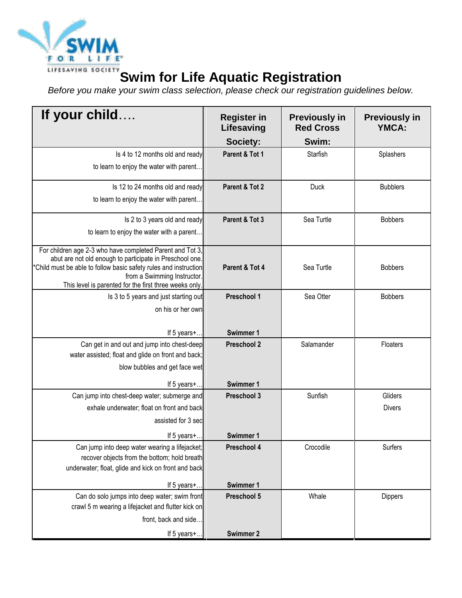

## **Swim for Life Aquatic Registration**

*Before you make your swim class selection, please check our registration guidelines below.*

| If your child                                                                                                        | <b>Register in</b><br>Lifesaving | <b>Previously in</b><br><b>Red Cross</b> | <b>Previously in</b><br><b>YMCA:</b> |
|----------------------------------------------------------------------------------------------------------------------|----------------------------------|------------------------------------------|--------------------------------------|
|                                                                                                                      | Society:                         | Swim:                                    |                                      |
| Is 4 to 12 months old and ready                                                                                      | Parent & Tot 1                   | Starfish                                 | Splashers                            |
| to learn to enjoy the water with parent.                                                                             |                                  |                                          |                                      |
| Is 12 to 24 months old and ready                                                                                     | Parent & Tot 2                   | <b>Duck</b>                              | <b>Bubblers</b>                      |
| to learn to enjoy the water with parent.                                                                             |                                  |                                          |                                      |
| Is 2 to 3 years old and ready                                                                                        | Parent & Tot 3                   | Sea Turtle                               | <b>Bobbers</b>                       |
| to learn to enjoy the water with a parent                                                                            |                                  |                                          |                                      |
| For children age 2-3 who have completed Parent and Tot 3,<br>abut are not old enough to participate in Preschool one |                                  |                                          |                                      |
| *Child must be able to follow basic safety rules and instruction                                                     | Parent & Tot 4                   | Sea Turtle                               | <b>Bobbers</b>                       |
| from a Swimming Instructor.                                                                                          |                                  |                                          |                                      |
| This level is parented for the first three weeks only                                                                | Preschool 1                      | Sea Otter                                | <b>Bobbers</b>                       |
| Is 3 to 5 years and just starting out<br>on his or her own                                                           |                                  |                                          |                                      |
|                                                                                                                      |                                  |                                          |                                      |
| If 5 years+                                                                                                          | Swimmer 1                        |                                          |                                      |
| Can get in and out and jump into chest-deep                                                                          | <b>Preschool 2</b>               | Salamander                               | Floaters                             |
| water assisted; float and glide on front and back;                                                                   |                                  |                                          |                                      |
| blow bubbles and get face wet                                                                                        |                                  |                                          |                                      |
| If 5 years+                                                                                                          | Swimmer 1                        |                                          |                                      |
| Can jump into chest-deep water; submerge and                                                                         | Preschool 3                      | Sunfish                                  | Gliders                              |
| exhale underwater; float on front and back                                                                           |                                  |                                          | <b>Divers</b>                        |
| assisted for 3 sec                                                                                                   |                                  |                                          |                                      |
| If 5 years+                                                                                                          | <b>Swimmer 1</b>                 |                                          |                                      |
| Can jump into deep water wearing a lifejacket;                                                                       | Preschool 4                      | Crocodile                                | Surfers                              |
| recover objects from the bottom; hold breath                                                                         |                                  |                                          |                                      |
| underwater; float, glide and kick on front and back                                                                  |                                  |                                          |                                      |
| If 5 years+                                                                                                          | <b>Swimmer 1</b>                 |                                          |                                      |
| Can do solo jumps into deep water; swim front                                                                        | Preschool 5                      | Whale                                    | Dippers                              |
| crawl 5 m wearing a lifejacket and flutter kick on                                                                   |                                  |                                          |                                      |
| front, back and side.                                                                                                |                                  |                                          |                                      |
| If 5 years+                                                                                                          | <b>Swimmer 2</b>                 |                                          |                                      |